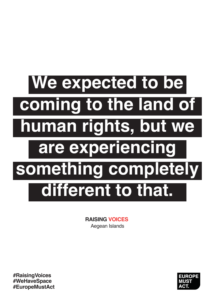## **We expected to be coming to the land of human rights, but we are experiencing something completely different to that.**

**RAISING VOICES** Aegean Islands

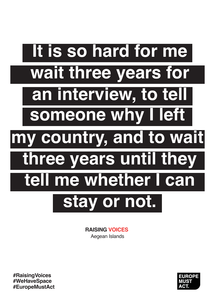# **It is so hard for me wait three years for someone why I left an interview, to tell my country, and to wait three years until they tell me whether I can stay or not.**

**RAISING VOICES** Aegean Islands

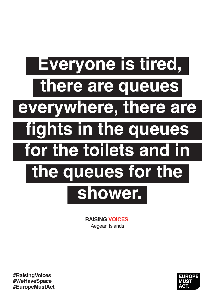### **Everyone is tired, there are queues fights in the queues everywhere, there are for the toilets and in the queues for the shower.**

**RAISING VOICES** Aegean Islands

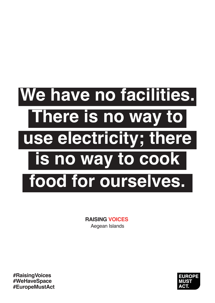## **We have no facilities. There is no way to is no way to cook use electricity; there food for ourselves.**

**RAISING VOICES** Aegean Islands

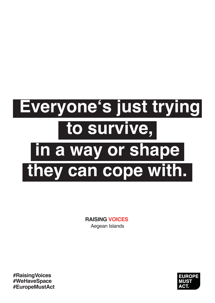#### **Everyone's just trying to survive, they can cope with. in a way or shape**

**RAISING VOICES** Aegean Islands

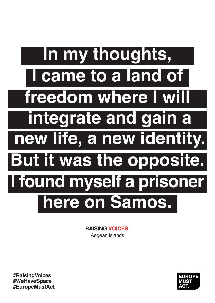## **In my thoughts, new life, a new identity. I came to a land of But it was the opposite. integrate and gain a here on Samos. freedom where I will I found myself a prisoner**

**RAISING VOICES** Aegean Islands

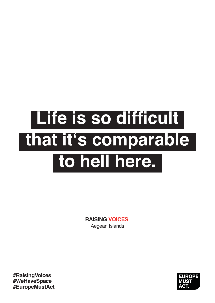### **Life is so difficult that it's comparable to hell here.**

**RAISING VOICES** Aegean Islands

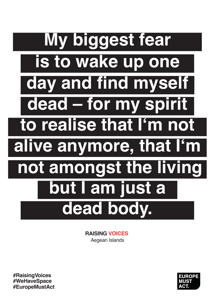## **My biggest fear to realise that I'm not is to wake up one alive anymore, that I'm dead – for my spirit but I am just a dead body. day and find myself not amongst the living**

**RAISING VOICES** Aegean Islands

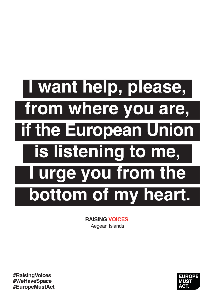# **I want help, please, from where you are, is listening to me, if the European Union I urge you from the bottom of my heart.**

**RAISING VOICES** Aegean Islands

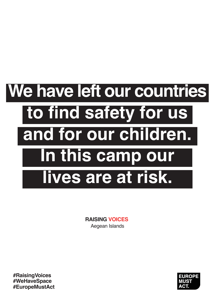# **We have left our countries to find safety for us In this camp our and for our children. lives are at risk.**

**RAISING VOICES** Aegean Islands